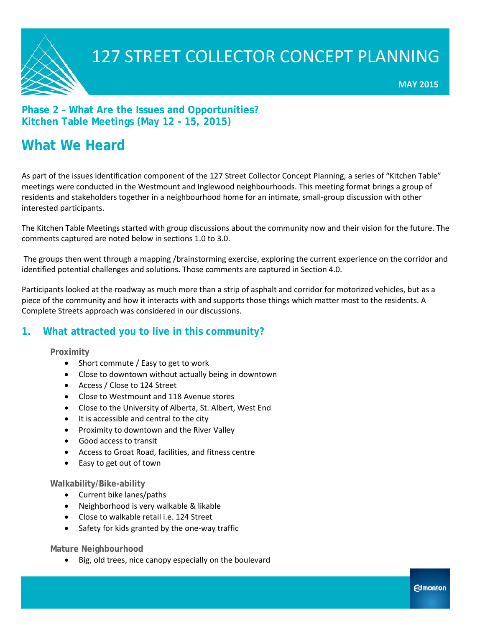

### **Phase 2 – What Are the Issues and Opportunities? Kitchen Table Meetings (May 12 - 15, 2015)**

### **What We Heard**

As part of the issues identification component of the 127 Street Collector Concept Planning, a series of "Kitchen Table" meetings were conducted in the Westmount and Inglewood neighbourhoods. This meeting format brings a group of residents and stakeholders together in a neighbourhood home for an intimate, small-group discussion with other interested participants.

The Kitchen Table Meetings started with group discussions about the community now and their vision for the future. The comments captured are noted below in sections 1.0 to 3.0.

The groups then went through a mapping /brainstorming exercise, exploring the current experience on the corridor and identified potential challenges and solutions. Those comments are captured in Section 4.0.

Participants looked at the roadway as much more than a strip of asphalt and corridor for motorized vehicles, but as a piece of the community and how it interacts with and supports those things which matter most to the residents. A Complete Streets approach was considered in our discussions.

### **1. What attracted you to live in this community?**

### **Proximity**

- Short commute / Easy to get to work
- Close to downtown without actually being in downtown
- Access / Close to 124 Street
- Close to Westmount and 118 Avenue stores
- Close to the University of Alberta, St. Albert, West End
- It is accessible and central to the city
- Proximity to downtown and the River Valley
- Good access to transit
- Access to Groat Road, facilities, and fitness centre
- Easy to get out of town

### **Walkability/Bike-ability**

- Current bike lanes/paths
- Neighborhood is very walkable & likable
- Close to walkable retail i.e. 124 Street
- Safety for kids granted by the one-way traffic

**Mature Neighbourhood**

• Big, old trees, nice canopy especially on the boulevard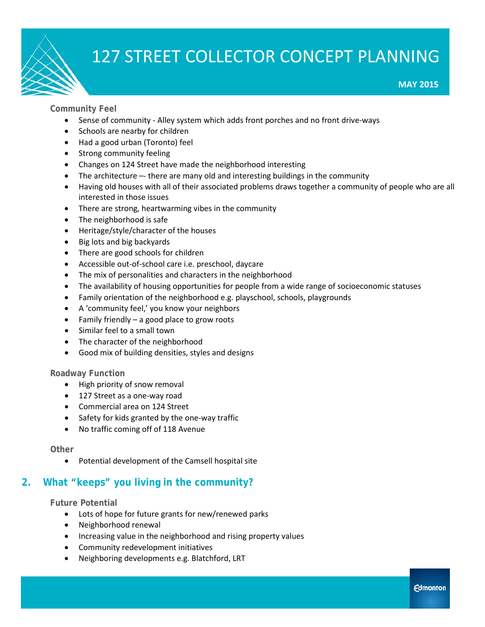**MAY 2015**

### **Community Feel**

- Sense of community Alley system which adds front porches and no front drive-ways
- Schools are nearby for children
- Had a good urban (Toronto) feel
- Strong community feeling
- Changes on 124 Street have made the neighborhood interesting
- The architecture -- there are many old and interesting buildings in the community
- Having old houses with all of their associated problems draws together a community of people who are all interested in those issues
- There are strong, heartwarming vibes in the community
- The neighborhood is safe
- Heritage/style/character of the houses
- Big lots and big backyards
- There are good schools for children
- Accessible out-of-school care i.e. preschool, daycare
- The mix of personalities and characters in the neighborhood
- The availability of housing opportunities for people from a wide range of socioeconomic statuses
- Family orientation of the neighborhood e.g. playschool, schools, playgrounds
- A 'community feel,' you know your neighbors
- Family friendly  $-$  a good place to grow roots
- Similar feel to a small town
- The character of the neighborhood
- Good mix of building densities, styles and designs

### **Roadway Function**

- High priority of snow removal
- 127 Street as a one-way road
- Commercial area on 124 Street
- Safety for kids granted by the one-way traffic
- No traffic coming off of 118 Avenue

### **Other**

• Potential development of the Camsell hospital site

### **2. What "keeps" you living in the community?**

**Future Potential**

- Lots of hope for future grants for new/renewed parks
- Neighborhood renewal
- Increasing value in the neighborhood and rising property values
- Community redevelopment initiatives
- Neighboring developments e.g. Blatchford, LRT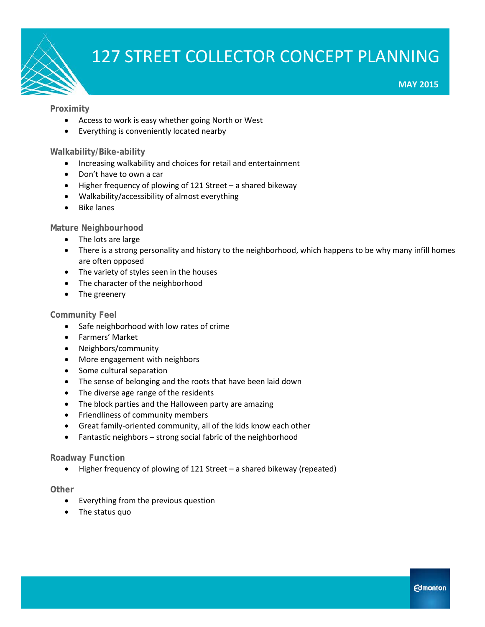

### **Proximity**

- Access to work is easy whether going North or West
- Everything is conveniently located nearby

#### **Walkability/Bike-ability**

- Increasing walkability and choices for retail and entertainment
- Don't have to own a car
- Higher frequency of plowing of 121 Street a shared bikeway
- Walkability/accessibility of almost everything
- Bike lanes

#### **Mature Neighbourhood**

- The lots are large
- There is a strong personality and history to the neighborhood, which happens to be why many infill homes are often opposed
- The variety of styles seen in the houses
- The character of the neighborhood
- The greenery

#### **Community Feel**

- Safe neighborhood with low rates of crime
- Farmers' Market
- Neighbors/community
- More engagement with neighbors
- Some cultural separation
- The sense of belonging and the roots that have been laid down
- The diverse age range of the residents
- The block parties and the Halloween party are amazing
- Friendliness of community members
- Great family-oriented community, all of the kids know each other
- Fantastic neighbors strong social fabric of the neighborhood

#### **Roadway Function**

• Higher frequency of plowing of 121 Street – a shared bikeway (repeated)

#### **Other**

- Everything from the previous question
- The status quo

**MAY 2015**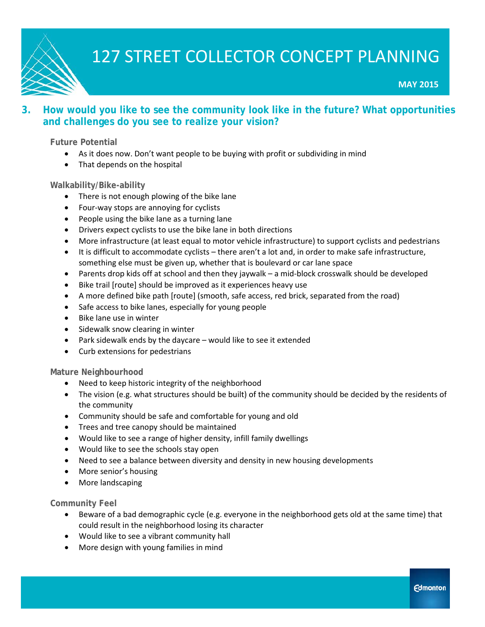

**MAY 2015**

### **3. How would you like to see the community look like in the future? What opportunities and challenges do you see to realize your vision?**

### **Future Potential**

- As it does now. Don't want people to be buying with profit or subdividing in mind
- That depends on the hospital

### **Walkability/Bike-ability**

- There is not enough plowing of the bike lane
- Four-way stops are annoying for cyclists
- People using the bike lane as a turning lane
- Drivers expect cyclists to use the bike lane in both directions
- More infrastructure (at least equal to motor vehicle infrastructure) to support cyclists and pedestrians
- It is difficult to accommodate cyclists there aren't a lot and, in order to make safe infrastructure, something else must be given up, whether that is boulevard or car lane space
- Parents drop kids off at school and then they jaywalk a mid-block crosswalk should be developed
- Bike trail [route] should be improved as it experiences heavy use
- A more defined bike path [route] (smooth, safe access, red brick, separated from the road)
- Safe access to bike lanes, especially for young people
- Bike lane use in winter
- Sidewalk snow clearing in winter
- Park sidewalk ends by the daycare would like to see it extended
- Curb extensions for pedestrians

### **Mature Neighbourhood**

- Need to keep historic integrity of the neighborhood
- The vision (e.g. what structures should be built) of the community should be decided by the residents of the community
- Community should be safe and comfortable for young and old
- Trees and tree canopy should be maintained
- Would like to see a range of higher density, infill family dwellings
- Would like to see the schools stay open
- Need to see a balance between diversity and density in new housing developments
- More senior's housing
- More landscaping

### **Community Feel**

- Beware of a bad demographic cycle (e.g. everyone in the neighborhood gets old at the same time) that could result in the neighborhood losing its character
- Would like to see a vibrant community hall
- More design with young families in mind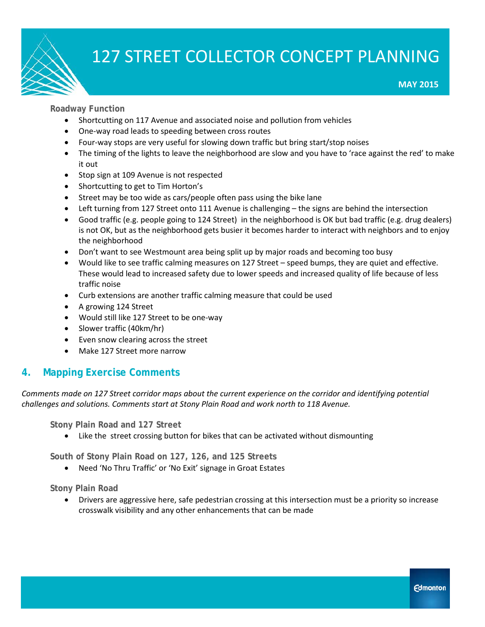

**MAY 2015**

**Roadway Function**

- Shortcutting on 117 Avenue and associated noise and pollution from vehicles
- One-way road leads to speeding between cross routes
- Four-way stops are very useful for slowing down traffic but bring start/stop noises
- The timing of the lights to leave the neighborhood are slow and you have to 'race against the red' to make it out
- Stop sign at 109 Avenue is not respected
- Shortcutting to get to Tim Horton's
- Street may be too wide as cars/people often pass using the bike lane
- Left turning from 127 Street onto 111 Avenue is challenging the signs are behind the intersection
- Good traffic (e.g. people going to 124 Street) in the neighborhood is OK but bad traffic (e.g. drug dealers) is not OK, but as the neighborhood gets busier it becomes harder to interact with neighbors and to enjoy the neighborhood
- Don't want to see Westmount area being split up by major roads and becoming too busy
- Would like to see traffic calming measures on 127 Street speed bumps, they are quiet and effective. These would lead to increased safety due to lower speeds and increased quality of life because of less traffic noise
- Curb extensions are another traffic calming measure that could be used
- A growing 124 Street
- Would still like 127 Street to be one-way
- Slower traffic (40km/hr)
- Even snow clearing across the street
- Make 127 Street more narrow

### **4. Mapping Exercise Comments**

*Comments made on 127 Street corridor maps about the current experience on the corridor and identifying potential challenges and solutions. Comments start at Stony Plain Road and work north to 118 Avenue.*

**Stony Plain Road and 127 Street** 

• Like the street crossing button for bikes that can be activated without dismounting

**South of Stony Plain Road on 127, 126, and 125 Streets**

• Need 'No Thru Traffic' or 'No Exit' signage in Groat Estates

**Stony Plain Road**

• Drivers are aggressive here, safe pedestrian crossing at this intersection must be a priority so increase crosswalk visibility and any other enhancements that can be made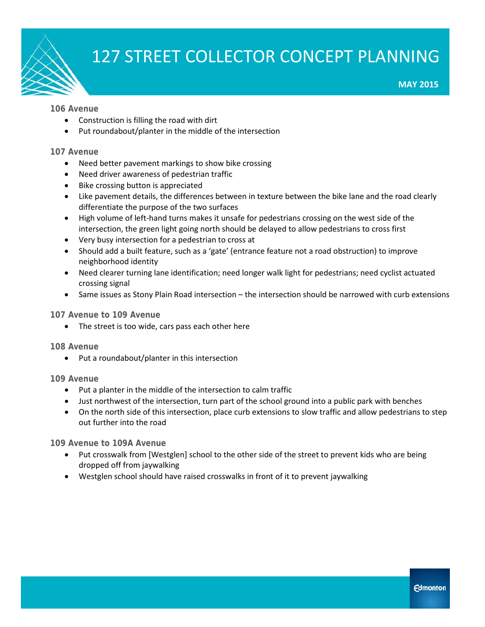

**MAY 2015**

### **106 Avenue**

- Construction is filling the road with dirt
- Put roundabout/planter in the middle of the intersection

### **107 Avenue**

- Need better pavement markings to show bike crossing
- Need driver awareness of pedestrian traffic
- Bike crossing button is appreciated
- Like pavement details, the differences between in texture between the bike lane and the road clearly differentiate the purpose of the two surfaces
- High volume of left-hand turns makes it unsafe for pedestrians crossing on the west side of the intersection, the green light going north should be delayed to allow pedestrians to cross first
- Very busy intersection for a pedestrian to cross at
- Should add a built feature, such as a 'gate' (entrance feature not a road obstruction) to improve neighborhood identity
- Need clearer turning lane identification; need longer walk light for pedestrians; need cyclist actuated crossing signal
- Same issues as Stony Plain Road intersection the intersection should be narrowed with curb extensions

### **107 Avenue to 109 Avenue**

• The street is too wide, cars pass each other here

### **108 Avenue**

• Put a roundabout/planter in this intersection

### **109 Avenue**

- Put a planter in the middle of the intersection to calm traffic
- Just northwest of the intersection, turn part of the school ground into a public park with benches
- On the north side of this intersection, place curb extensions to slow traffic and allow pedestrians to step out further into the road

**109 Avenue to 109A Avenue**

- Put crosswalk from [Westglen] school to the other side of the street to prevent kids who are being dropped off from jaywalking
- Westglen school should have raised crosswalks in front of it to prevent jaywalking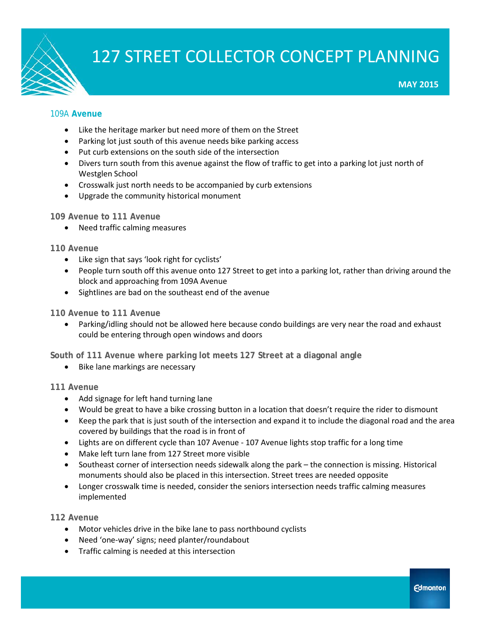

**MAY 2015**

### 109A **Avenue**

- Like the heritage marker but need more of them on the Street
- Parking lot just south of this avenue needs bike parking access
- Put curb extensions on the south side of the intersection
- Divers turn south from this avenue against the flow of traffic to get into a parking lot just north of Westglen School
- Crosswalk just north needs to be accompanied by curb extensions
- Upgrade the community historical monument

### **109 Avenue to 111 Avenue**

• Need traffic calming measures

### **110 Avenue**

- Like sign that says 'look right for cyclists'
- People turn south off this avenue onto 127 Street to get into a parking lot, rather than driving around the block and approaching from 109A Avenue
- Sightlines are bad on the southeast end of the avenue

### **110 Avenue to 111 Avenue**

• Parking/idling should not be allowed here because condo buildings are very near the road and exhaust could be entering through open windows and doors

**South of 111 Avenue where parking lot meets 127 Street at a diagonal angle**

• Bike lane markings are necessary

### **111 Avenue**

- Add signage for left hand turning lane
- Would be great to have a bike crossing button in a location that doesn't require the rider to dismount
- Keep the park that is just south of the intersection and expand it to include the diagonal road and the area covered by buildings that the road is in front of
- Lights are on different cycle than 107 Avenue 107 Avenue lights stop traffic for a long time
- Make left turn lane from 127 Street more visible
- Southeast corner of intersection needs sidewalk along the park the connection is missing. Historical monuments should also be placed in this intersection. Street trees are needed opposite
- Longer crosswalk time is needed, consider the seniors intersection needs traffic calming measures implemented

### **112 Avenue**

- Motor vehicles drive in the bike lane to pass northbound cyclists
- Need 'one-way' signs; need planter/roundabout
- Traffic calming is needed at this intersection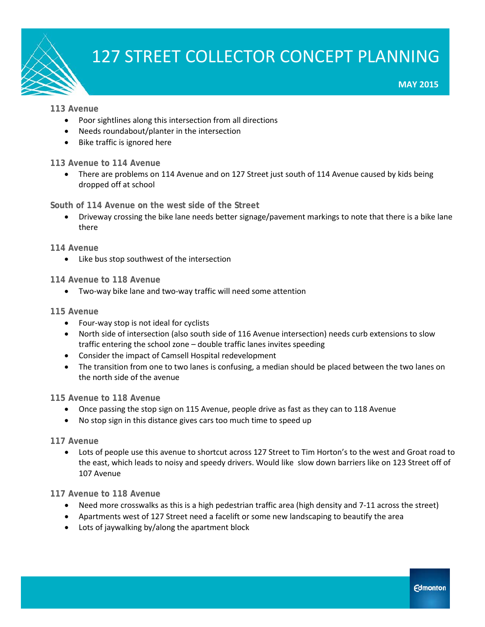

### **MAY 2015**

### **113 Avenue**

- Poor sightlines along this intersection from all directions
- Needs roundabout/planter in the intersection
- Bike traffic is ignored here

### **113 Avenue to 114 Avenue**

• There are problems on 114 Avenue and on 127 Street just south of 114 Avenue caused by kids being dropped off at school

### **South of 114 Avenue on the west side of the Street**

• Driveway crossing the bike lane needs better signage/pavement markings to note that there is a bike lane there

### **114 Avenue**

• Like bus stop southwest of the intersection

### **114 Avenue to 118 Avenue**

• Two-way bike lane and two-way traffic will need some attention

### **115 Avenue**

- Four-way stop is not ideal for cyclists
- North side of intersection (also south side of 116 Avenue intersection) needs curb extensions to slow traffic entering the school zone – double traffic lanes invites speeding
- Consider the impact of Camsell Hospital redevelopment
- The transition from one to two lanes is confusing, a median should be placed between the two lanes on the north side of the avenue

### **115 Avenue to 118 Avenue**

- Once passing the stop sign on 115 Avenue, people drive as fast as they can to 118 Avenue
- No stop sign in this distance gives cars too much time to speed up

### **117 Avenue**

• Lots of people use this avenue to shortcut across 127 Street to Tim Horton's to the west and Groat road to the east, which leads to noisy and speedy drivers. Would like slow down barriers like on 123 Street off of 107 Avenue

### **117 Avenue to 118 Avenue**

- Need more crosswalks as this is a high pedestrian traffic area (high density and 7-11 across the street)
- Apartments west of 127 Street need a facelift or some new landscaping to beautify the area
- Lots of jaywalking by/along the apartment block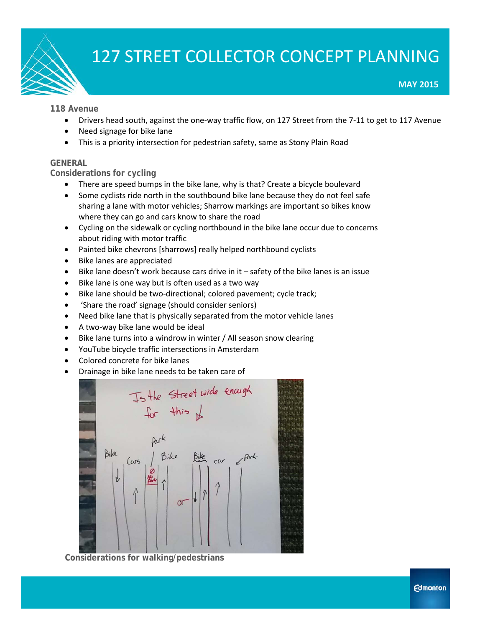

#### **118 Avenue**

- Drivers head south, against the one-way traffic flow, on 127 Street from the 7-11 to get to 117 Avenue
- Need signage for bike lane
- This is a priority intersection for pedestrian safety, same as Stony Plain Road

#### **GENERAL**

#### **Considerations for cycling**

- There are speed bumps in the bike lane, why is that? Create a bicycle boulevard
- Some cyclists ride north in the southbound bike lane because they do not feel safe sharing a lane with motor vehicles; Sharrow markings are important so bikes know where they can go and cars know to share the road
- Cycling on the sidewalk or cycling northbound in the bike lane occur due to concerns about riding with motor traffic
- Painted bike chevrons [sharrows] really helped northbound cyclists
- Bike lanes are appreciated
- Bike lane doesn't work because cars drive in it safety of the bike lanes is an issue
- Bike lane is one way but is often used as a two way
- Bike lane should be two-directional; colored pavement; cycle track;
- 'Share the road' signage (should consider seniors)
- Need bike lane that is physically separated from the motor vehicle lanes
- A two-way bike lane would be ideal
- Bike lane turns into a windrow in winter / All season snow clearing
- YouTube bicycle traffic intersections in Amsterdam
- Colored concrete for bike lanes
- Drainage in bike lane needs to be taken care of



**Considerations for walking/pedestrians**

**MAY 2015**